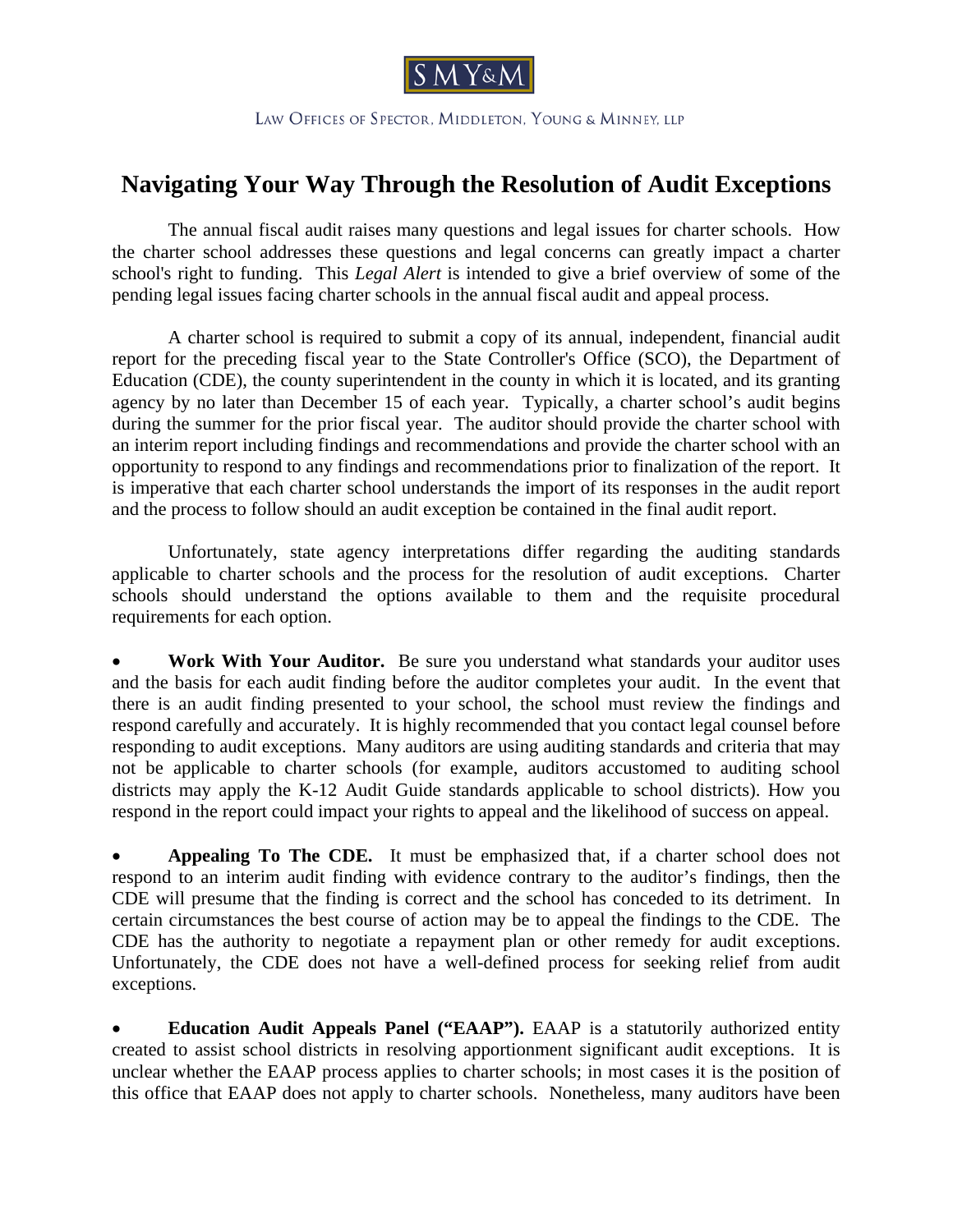

LAW OFFICES OF SPECTOR, MIDDLETON, YOUNG & MINNEY, LLP

## **Navigating Your Way Through the Resolution of Audit Exceptions**

The annual fiscal audit raises many questions and legal issues for charter schools. How the charter school addresses these questions and legal concerns can greatly impact a charter school's right to funding. This *Legal Alert* is intended to give a brief overview of some of the pending legal issues facing charter schools in the annual fiscal audit and appeal process.

A charter school is required to submit a copy of its annual, independent, financial audit report for the preceding fiscal year to the State Controller's Office (SCO), the Department of Education (CDE), the county superintendent in the county in which it is located, and its granting agency by no later than December 15 of each year. Typically, a charter school's audit begins during the summer for the prior fiscal year. The auditor should provide the charter school with an interim report including findings and recommendations and provide the charter school with an opportunity to respond to any findings and recommendations prior to finalization of the report. It is imperative that each charter school understands the import of its responses in the audit report and the process to follow should an audit exception be contained in the final audit report.

Unfortunately, state agency interpretations differ regarding the auditing standards applicable to charter schools and the process for the resolution of audit exceptions. Charter schools should understand the options available to them and the requisite procedural requirements for each option.

• **Work With Your Auditor.** Be sure you understand what standards your auditor uses and the basis for each audit finding before the auditor completes your audit. In the event that there is an audit finding presented to your school, the school must review the findings and respond carefully and accurately. It is highly recommended that you contact legal counsel before responding to audit exceptions. Many auditors are using auditing standards and criteria that may not be applicable to charter schools (for example, auditors accustomed to auditing school districts may apply the K-12 Audit Guide standards applicable to school districts). How you respond in the report could impact your rights to appeal and the likelihood of success on appeal.

• **Appealing To The CDE.** It must be emphasized that, if a charter school does not respond to an interim audit finding with evidence contrary to the auditor's findings, then the CDE will presume that the finding is correct and the school has conceded to its detriment. In certain circumstances the best course of action may be to appeal the findings to the CDE. The CDE has the authority to negotiate a repayment plan or other remedy for audit exceptions. Unfortunately, the CDE does not have a well-defined process for seeking relief from audit exceptions.

**Education Audit Appeals Panel ("EAAP").** EAAP is a statutorily authorized entity created to assist school districts in resolving apportionment significant audit exceptions. It is unclear whether the EAAP process applies to charter schools; in most cases it is the position of this office that EAAP does not apply to charter schools. Nonetheless, many auditors have been